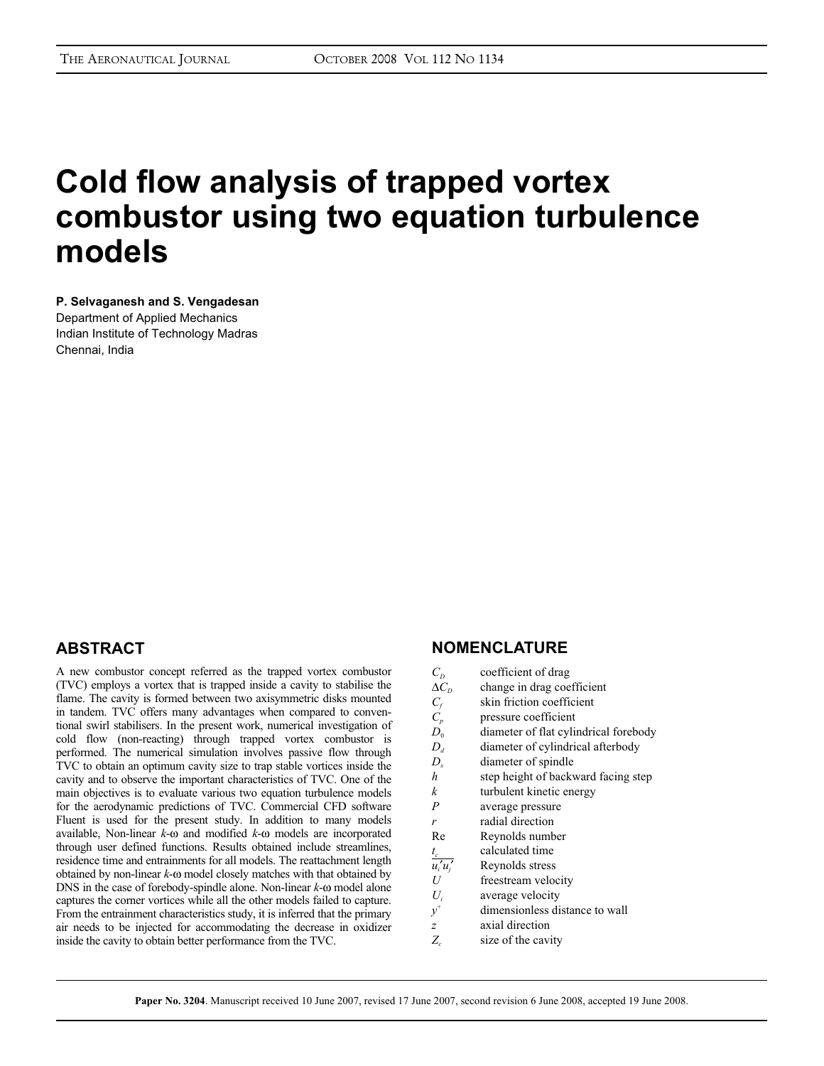# **Cold flow analysis of trapped vortex combustor using two equation turbulence models**

**P. Selvaganesh and S. Vengadesan** Department of Applied Mechanics Indian Institute of Technology Madras Chennai, India

# **ABSTRACT**

A new combustor concept referred as the trapped vortex combustor (TVC) employs a vortex that is trapped inside a cavity to stabilise the flame. The cavity is formed between two axisymmetric disks mounted in tandem. TVC offers many advantages when compared to conventional swirl stabilisers. In the present work, numerical investigation of cold flow (non-reacting) through trapped vortex combustor is performed. The numerical simulation involves passive flow through TVC to obtain an optimum cavity size to trap stable vortices inside the cavity and to observe the important characteristics of TVC. One of the main objectives is to evaluate various two equation turbulence models for the aerodynamic predictions of TVC. Commercial CFD software Fluent is used for the present study. In addition to many models available, Non-linear  $k$ - $\omega$  and modified  $k$ - $\omega$  models are incorporated through user defined functions. Results obtained include streamlines, residence time and entrainments for all models. The reattachment length obtained by non-linear  $k$ - $\omega$  model closely matches with that obtained by DNS in the case of forebody-spindle alone. Non-linear  $k$ - $\omega$  model alone captures the corner vortices while all the other models failed to capture. From the entrainment characteristics study, it is inferred that the primary air needs to be injected for accommodating the decrease in oxidizer inside the cavity to obtain better performance from the TVC.

# **NOMENCLATURE**

| $C_{\scriptscriptstyle D}$ | coefficient of drag                   |
|----------------------------|---------------------------------------|
| $\Delta C_{D}$             | change in drag coefficient            |
| $C_f$                      | skin friction coefficient             |
| $C_p$                      | pressure coefficient                  |
| $D_{0}$                    | diameter of flat cylindrical forebody |
| $D_d$                      | diameter of cylindrical afterbody     |
| $D_{s}$                    | diameter of spindle                   |
| $\boldsymbol{h}$           | step height of backward facing step   |
| k                          | turbulent kinetic energy              |
| P                          | average pressure                      |
| r                          | radial direction                      |
| Re                         | Reynolds number                       |
|                            | calculated time                       |
| $rac{t_c}{u_i'u_i'}$       | Reynolds stress                       |
| U                          | freestream velocity                   |
| $U_i$                      | average velocity                      |
| $v^*$                      | dimensionless distance to wall        |
| $\overline{z}$             | axial direction                       |
| Z,                         | size of the cavity                    |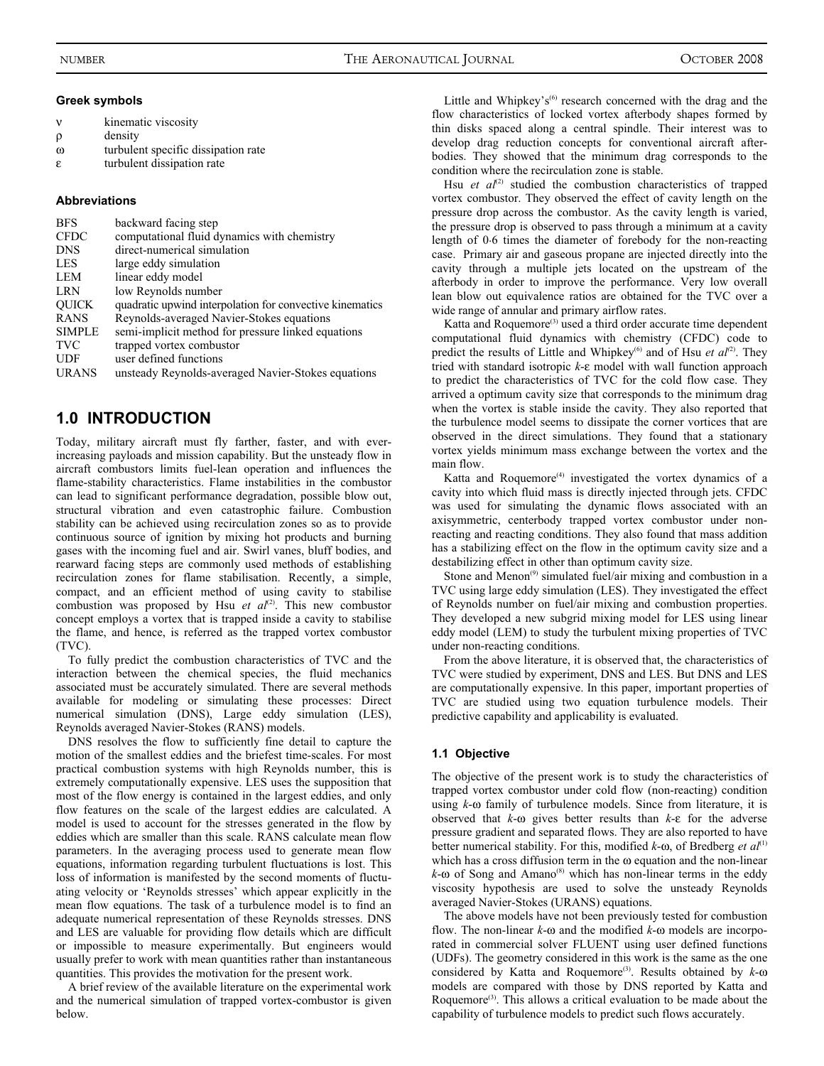#### **Greek symbols**

- v kinematic viscosity
- $\rho$  density
- $\omega$  turbulent specific dissipation rate
- $\epsilon$  turbulent dissipation rate

# **Abbreviations**

| <b>BFS</b>    | backward facing step                                     |
|---------------|----------------------------------------------------------|
| <b>CFDC</b>   | computational fluid dynamics with chemistry              |
| <b>DNS</b>    | direct-numerical simulation                              |
| <b>LES</b>    | large eddy simulation                                    |
| <b>LEM</b>    | linear eddy model                                        |
| <b>LRN</b>    | low Reynolds number                                      |
| <b>OUICK</b>  | quadratic upwind interpolation for convective kinematics |
| <b>RANS</b>   | Reynolds-averaged Navier-Stokes equations                |
| <b>SIMPLE</b> | semi-implicit method for pressure linked equations       |
| <b>TVC</b>    | trapped vortex combustor                                 |
| UDF           | user defined functions                                   |
| <b>URANS</b>  | unsteady Reynolds-averaged Navier-Stokes equations       |
|               |                                                          |

# **1.0 INTRODUCTION**

Today, military aircraft must fly farther, faster, and with everincreasing payloads and mission capability. But the unsteady flow in aircraft combustors limits fuel-lean operation and influences the flame-stability characteristics. Flame instabilities in the combustor can lead to significant performance degradation, possible blow out, structural vibration and even catastrophic failure. Combustion stability can be achieved using recirculation zones so as to provide continuous source of ignition by mixing hot products and burning gases with the incoming fuel and air. Swirl vanes, bluff bodies, and rearward facing steps are commonly used methods of establishing recirculation zones for flame stabilisation. Recently, a simple, compact, and an efficient method of using cavity to stabilise combustion was proposed by Hsu et al<sup>(2)</sup>. This new combustor concept employs a vortex that is trapped inside a cavity to stabilise the flame, and hence, is referred as the trapped vortex combustor (TVC).

To fully predict the combustion characteristics of TVC and the interaction between the chemical species, the fluid mechanics associated must be accurately simulated. There are several methods available for modeling or simulating these processes: Direct numerical simulation (DNS), Large eddy simulation (LES), Reynolds averaged Navier-Stokes (RANS) models.

DNS resolves the flow to sufficiently fine detail to capture the motion of the smallest eddies and the briefest time-scales. For most practical combustion systems with high Reynolds number, this is extremely computationally expensive. LES uses the supposition that most of the flow energy is contained in the largest eddies, and only flow features on the scale of the largest eddies are calculated. A model is used to account for the stresses generated in the flow by eddies which are smaller than this scale. RANS calculate mean flow parameters. In the averaging process used to generate mean flow equations, information regarding turbulent fluctuations is lost. This loss of information is manifested by the second moments of fluctuating velocity or 'Reynolds stresses' which appear explicitly in the mean flow equations. The task of a turbulence model is to find an adequate numerical representation of these Reynolds stresses. DNS and LES are valuable for providing flow details which are difficult or impossible to measure experimentally. But engineers would usually prefer to work with mean quantities rather than instantaneous quantities. This provides the motivation for the present work.

A brief review of the available literature on the experimental work and the numerical simulation of trapped vortex-combustor is given below.

Little and Whipkey's $^{(6)}$  research concerned with the drag and the flow characteristics of locked vortex afterbody shapes formed by thin disks spaced along a central spindle. Their interest was to develop drag reduction concepts for conventional aircraft afterbodies. They showed that the minimum drag corresponds to the condition where the recirculation zone is stable.

Hsu *et al*<sup>(2)</sup> studied the combustion characteristics of trapped vortex combustor. They observed the effect of cavity length on the pressure drop across the combustor. As the cavity length is varied, the pressure drop is observed to pass through a minimum at a cavity length of 0.6 times the diameter of forebody for the non-reacting case. Primary air and gaseous propane are injected directly into the cavity through a multiple jets located on the upstream of the afterbody in order to improve the performance. Very low overall lean blow out equivalence ratios are obtained for the TVC over a wide range of annular and primary airflow rates.

Katta and Roquemore<sup>(3)</sup> used a third order accurate time dependent computational fluid dynamics with chemistry (CFDC) code to predict the results of Little and Whipkey<sup>(6)</sup> and of Hsu *et al*<sup>(2)</sup>. They tried with standard isotropic  $k$ - $\varepsilon$  model with wall function approach to predict the characteristics of TVC for the cold flow case. They arrived a optimum cavity size that corresponds to the minimum drag when the vortex is stable inside the cavity. They also reported that the turbulence model seems to dissipate the corner vortices that are observed in the direct simulations. They found that a stationary vortex yields minimum mass exchange between the vortex and the main flow.

Katta and Roquemore $(4)$  investigated the vortex dynamics of a cavity into which fluid mass is directly injected through jets. CFDC was used for simulating the dynamic flows associated with an axisymmetric, centerbody trapped vortex combustor under nonreacting and reacting conditions. They also found that mass addition has a stabilizing effect on the flow in the optimum cavity size and a destabilizing effect in other than optimum cavity size.

Stone and Menon<sup>(9)</sup> simulated fuel/air mixing and combustion in a TVC using large eddy simulation (LES). They investigated the effect of Reynolds number on fuel/air mixing and combustion properties. They developed a new subgrid mixing model for LES using linear eddy model (LEM) to study the turbulent mixing properties of TVC under non-reacting conditions.

From the above literature, it is observed that, the characteristics of TVC were studied by experiment, DNS and LES. But DNS and LES are computationally expensive. In this paper, important properties of TVC are studied using two equation turbulence models. Their predictive capability and applicability is evaluated.

# **1.1 Objective**

The objective of the present work is to study the characteristics of trapped vortex combustor under cold flow (non-reacting) condition using *k*- $\omega$  family of turbulence models. Since from literature, it is observed that  $k$ - $\omega$  gives better results than  $k$ - $\varepsilon$  for the adverse pressure gradient and separated flows. They are also reported to have better numerical stability. For this, modified *k*- $\omega$ , of Bredberg *et al*<sup>(1)</sup> which has a cross diffusion term in the  $\omega$  equation and the non-linear  $k$ - $\omega$  of Song and Amano<sup>(8)</sup> which has non-linear terms in the eddy viscosity hypothesis are used to solve the unsteady Reynolds averaged Navier-Stokes (URANS) equations.

The above models have not been previously tested for combustion flow. The non-linear  $k$ - $\omega$  and the modified  $k$ - $\omega$  models are incorporated in commercial solver FLUENT using user defined functions (UDFs). The geometry considered in this work is the same as the one considered by Katta and Roquemore<sup>(3)</sup>. Results obtained by  $k$ - $\omega$ models are compared with those by DNS reported by Katta and Roquemore<sup>(3)</sup>. This allows a critical evaluation to be made about the capability of turbulence models to predict such flows accurately.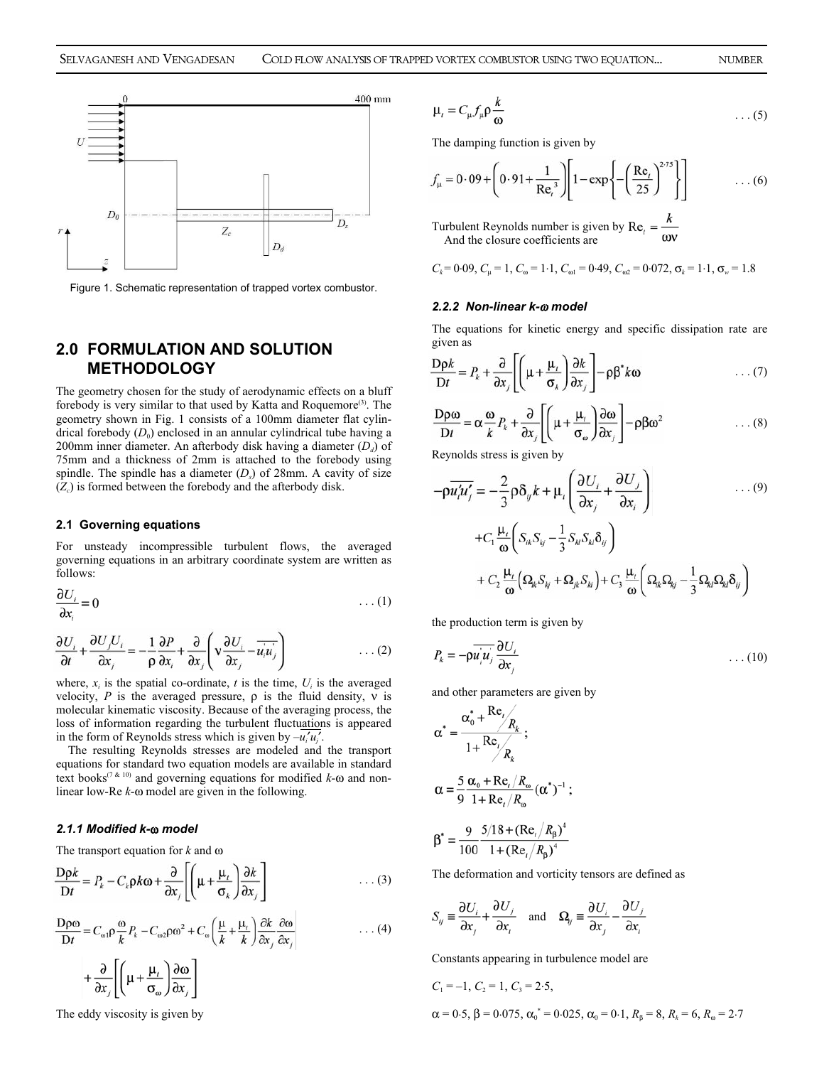

Figure 1. Schematic representation of trapped vortex combustor.

# **2.0 FORMULATION AND SOLUTION METHODOLOGY**

The geometry chosen for the study of aerodynamic effects on a bluff forebody is very similar to that used by Katta and Roquemore<sup>(3)</sup>. The geometry shown in Fig. 1 consists of a 100mm diameter flat cylindrical forebody  $(D_0)$  enclosed in an annular cylindrical tube having a 200mm inner diameter. An afterbody disk having a diameter (*Dd*) of 75mm and a thickness of 2mm is attached to the forebody using spindle. The spindle has a diameter  $(D<sub>s</sub>)$  of 28mm. A cavity of size  $(Z_c)$  is formed between the forebody and the afterbody disk.

#### **2.1 Governing equations**

For unsteady incompressible turbulent flows, the averaged governing equations in an arbitrary coordinate system are written as follows:

$$
\frac{\partial U_i}{\partial x_i} = 0 \tag{1}
$$

$$
\frac{\partial U_i}{\partial t} + \frac{\partial U_j U_i}{\partial x_j} = -\frac{1}{\rho} \frac{\partial P}{\partial x_i} + \frac{\partial}{\partial x_j} \left( \mathbf{v} \frac{\partial U_i}{\partial x_j} - \overline{u_i u_j} \right) \tag{2}
$$

where,  $x_i$  is the spatial co-ordinate,  $t$  is the time,  $U_i$  is the averaged velocity,  $P$  is the averaged pressure,  $\rho$  is the fluid density,  $\nu$  is molecular kinematic viscosity. Because of the averaging process, the loss of information regarding the turbulent fluctuations is appeared in the form of Reynolds stress which is given by  $-\overline{u_i'u_j'}$ .

The resulting Reynolds stresses are modeled and the transport equations for standard two equation models are available in standard text books<sup> $(7 \& 10)$ </sup> and governing equations for modified  $k$ - $\omega$  and nonlinear low-Re  $k$ - $\omega$  model are given in the following.

# *2.1.1 Modified k- model*

The transport equation for  $k$  and  $\omega$ 

$$
\frac{\text{D}\rho k}{\text{D}t} = P_k - C_k \rho k \omega + \frac{\partial}{\partial x_j} \left[ \left( \mu + \frac{\mu_i}{\sigma_k} \right) \frac{\partial k}{\partial x_j} \right] \tag{3}
$$

$$
\frac{D\rho\omega}{Dt} = C_{\omega 1}\rho \frac{\omega}{k} P_k - C_{\omega 2}\rho\omega^2 + C_{\omega} \left(\frac{\mu}{k} + \frac{\mu_t}{k}\right) \frac{\partial k}{\partial x_j} \frac{\partial \omega}{\partial x_j} + \frac{\partial}{\partial x_j} \left[ \left(\mu + \frac{\mu_t}{\sigma_{\omega}}\right) \frac{\partial \omega}{\partial x_j} \right]
$$
 (4)

The eddy viscosity is given by

$$
\mu_t = C_{\mu} f_{\mu} \rho \frac{k}{\omega} \tag{5}
$$

The damping function is given by

$$
f_{\mu} = 0.09 + \left(0.91 + \frac{1}{\text{Re}_{t}^{3}}\right) \left[1 - \exp\left\{-\left(\frac{\text{Re}_{t}}{25}\right)^{2/5}\right\}\right] \tag{6}
$$

Turbulent Reynolds number is given by  $Re_1 = \frac{N}{2}$  $\omega$ And the closure coefficients are

$$
C_k = 0.09
$$
,  $C_\mu = 1$ ,  $C_\omega = 1.1$ ,  $C_{\omega 1} = 0.49$ ,  $C_{\omega 2} = 0.072$ ,  $\sigma_k = 1.1$ ,  $\sigma_w = 1.8$ 

#### *2.2.2 Non-linear k- model*

The equations for kinetic energy and specific dissipation rate are given as

$$
\frac{\text{D}\rho k}{\text{D}t} = P_k + \frac{\partial}{\partial x_j} \left[ \left( \mu + \frac{\mu_i}{\sigma_k} \right) \frac{\partial k}{\partial x_j} \right] - \rho \beta^* k \omega \tag{7}
$$

$$
\frac{\mathbf{D}\rho\omega}{\mathbf{D}t} = \alpha \frac{\omega}{k} P_k + \frac{\partial}{\partial x_j} \left[ \left( \mu + \frac{\mu_t}{\sigma_\omega} \right) \frac{\partial \omega}{\partial x_j} \right] - \rho \beta \omega^2 \qquad \qquad \dots (8)
$$

Reynolds stress is given by

$$
-\rho \overline{u'_i u'_j} = -\frac{2}{3} \rho \delta_{ij} k + \mu_i \left( \frac{\partial U_i}{\partial x_j} + \frac{\partial U_j}{\partial x_i} \right) \qquad \qquad \dots (9)
$$

$$
+ C_1 \frac{\mu_i}{\omega} \left( S_{ik} S_{kj} - \frac{1}{3} S_{kl} S_{kl} \delta_{ij} \right)
$$

$$
+ C_2 \frac{\mu_i}{\omega} \left( \Omega_k S_{kj} + \Omega_{jk} S_{kl} \right) + C_3 \frac{\mu_i}{\omega} \left( \Omega_k \Omega_{kj} - \frac{1}{3} \Omega_{kl} \Omega_{kl} \delta_{ij} \right)
$$

the production term is given by

$$
P_k = -\rho \overline{u_i u_j} \frac{\partial U_i}{\partial x_j} \tag{10}
$$

and other parameters are given by

$$
\alpha^* = \frac{\alpha_0^* + \frac{\text{Re}_t}{R_k}}{1 + \frac{\text{Re}_t}{R_k}}; \n\alpha = \frac{5 \alpha_0 + \text{Re}_t/R_\omega}{1 + \text{Re}_t/R_\omega} (\alpha^*)^{-1} ; \n\beta^* = \frac{9 \cdot 5/18 + (\text{Re}_t/R_\beta)^4}{100 \cdot 1 + (\text{Re}_t/R_\beta)^4}
$$

The deformation and vorticity tensors are defined as

$$
S_{ij} \equiv \frac{\partial U_i}{\partial x_j} + \frac{\partial U_j}{\partial x_i} \quad \text{and} \quad \Omega_{ij} \equiv \frac{\partial U_i}{\partial x_j} - \frac{\partial U_j}{\partial x_i}
$$

Constants appearing in turbulence model are

$$
C_1 = -1
$$
,  $C_2 = 1$ ,  $C_3 = 2.5$ ,  
 $\alpha = 0.5$ ,  $\beta = 0.075$ ,  $\alpha_0^* = 0.025$ ,  $\alpha_0 = 0.1$ ,  $R_\beta = 8$ ,  $R_k = 6$ ,  $R_\omega = 2.7$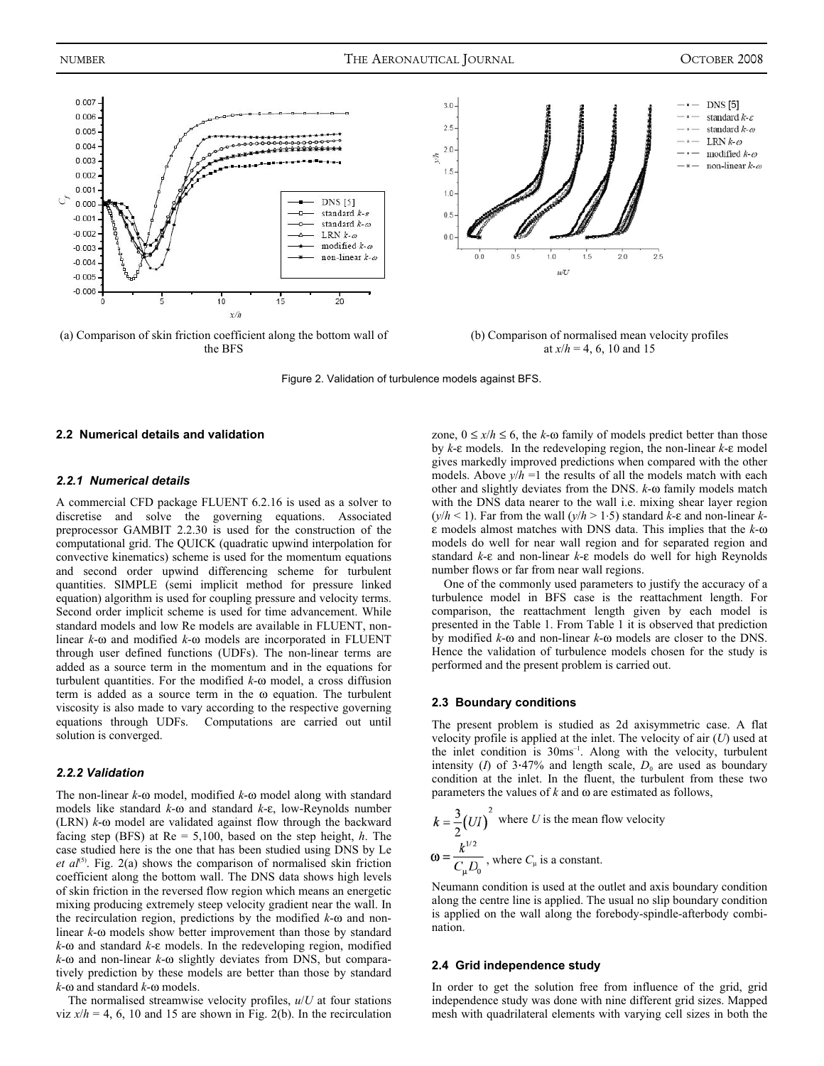

the BFS

Figure 2. Validation of turbulence models against BFS.

# **2.2 Numerical details and validation**

## *2.2.1 Numerical details*

A commercial CFD package FLUENT 6.2.16 is used as a solver to discretise and solve the governing equations. Associated preprocessor GAMBIT 2.2.30 is used for the construction of the computational grid. The QUICK (quadratic upwind interpolation for convective kinematics) scheme is used for the momentum equations and second order upwind differencing scheme for turbulent quantities. SIMPLE (semi implicit method for pressure linked equation) algorithm is used for coupling pressure and velocity terms. Second order implicit scheme is used for time advancement. While standard models and low Re models are available in FLUENT, nonlinear  $k$ - $\omega$  and modified  $k$ - $\omega$  models are incorporated in FLUENT through user defined functions (UDFs). The non-linear terms are added as a source term in the momentum and in the equations for turbulent quantities. For the modified  $k$ - $\omega$  model, a cross diffusion term is added as a source term in the  $\omega$  equation. The turbulent viscosity is also made to vary according to the respective governing equations through UDFs. Computations are carried out until solution is converged.

## *2.2.2 Validation*

The non-linear  $k$ - $\omega$  model, modified  $k$ - $\omega$  model along with standard models like standard  $k$ - $\omega$  and standard  $k$ - $\varepsilon$ , low-Reynolds number (LRN)  $k$ - $\omega$  model are validated against flow through the backward facing step (BFS) at Re = 5,100, based on the step height, *h*. The case studied here is the one that has been studied using DNS by Le *et*  $al^{(5)}$ *.* Fig. 2(a) shows the comparison of normalised skin friction coefficient along the bottom wall. The DNS data shows high levels of skin friction in the reversed flow region which means an energetic mixing producing extremely steep velocity gradient near the wall. In the recirculation region, predictions by the modified  $k$ - $\omega$  and nonlinear *k*- $\omega$  models show better improvement than those by standard  $k$ - $\omega$  and standard  $k$ - $\varepsilon$  models. In the redeveloping region, modified  $k$ - $\omega$  and non-linear  $k$ - $\omega$  slightly deviates from DNS, but comparatively prediction by these models are better than those by standard  $k$ - $\omega$  and standard  $k$ - $\omega$  models.

The normalised streamwise velocity profiles, *u*/*U* at four stations viz  $x/h = 4$ , 6, 10 and 15 are shown in Fig. 2(b). In the recirculation zone,  $0 \le x/h \le 6$ , the *k*- $\omega$  family of models predict better than those by  $k$ - $\varepsilon$  models. In the redeveloping region, the non-linear  $k$ - $\varepsilon$  model gives markedly improved predictions when compared with the other models. Above  $y/h = 1$  the results of all the models match with each other and slightly deviates from the DNS. *k*- $\omega$  family models match with the DNS data nearer to the wall i.e. mixing shear layer region ( $y/h < 1$ ). Far from the wall ( $y/h > 1.5$ ) standard *k*- $\varepsilon$  and non-linear *k* models almost matches with DNS data. This implies that the *k* models do well for near wall region and for separated region and standard  $k$ - $\varepsilon$  and non-linear  $k$ - $\varepsilon$  models do well for high Reynolds number flows or far from near wall regions.

One of the commonly used parameters to justify the accuracy of a turbulence model in BFS case is the reattachment length. For comparison, the reattachment length given by each model is presented in the Table 1. From Table 1 it is observed that prediction by modified  $k$ - $\omega$  and non-linear  $k$ - $\omega$  models are closer to the DNS. Hence the validation of turbulence models chosen for the study is performed and the present problem is carried out.

## **2.3 Boundary conditions**

The present problem is studied as 2d axisymmetric case. A flat velocity profile is applied at the inlet. The velocity of air (*U*) used at the inlet condition is  $30\,\text{ms}^{-1}$ . Along with the velocity, turbulent intensity (*I*) of 3.47% and length scale,  $D_0$  are used as boundary condition at the inlet. In the fluent, the turbulent from these two parameters the values of  $k$  and  $\omega$  are estimated as follows,

$$
k = \frac{3}{2} (UI)^2
$$
 where *U* is the mean flow velocity  
\n
$$
\omega = \frac{k^{1/2}}{C_{v} D_{0}}
$$
, where  $C_{\mu}$  is a constant.

Neumann condition is used at the outlet and axis boundary condition along the centre line is applied. The usual no slip boundary condition is applied on the wall along the forebody-spindle-afterbody combination.

#### **2.4 Grid independence study**

In order to get the solution free from influence of the grid, grid independence study was done with nine different grid sizes. Mapped mesh with quadrilateral elements with varying cell sizes in both the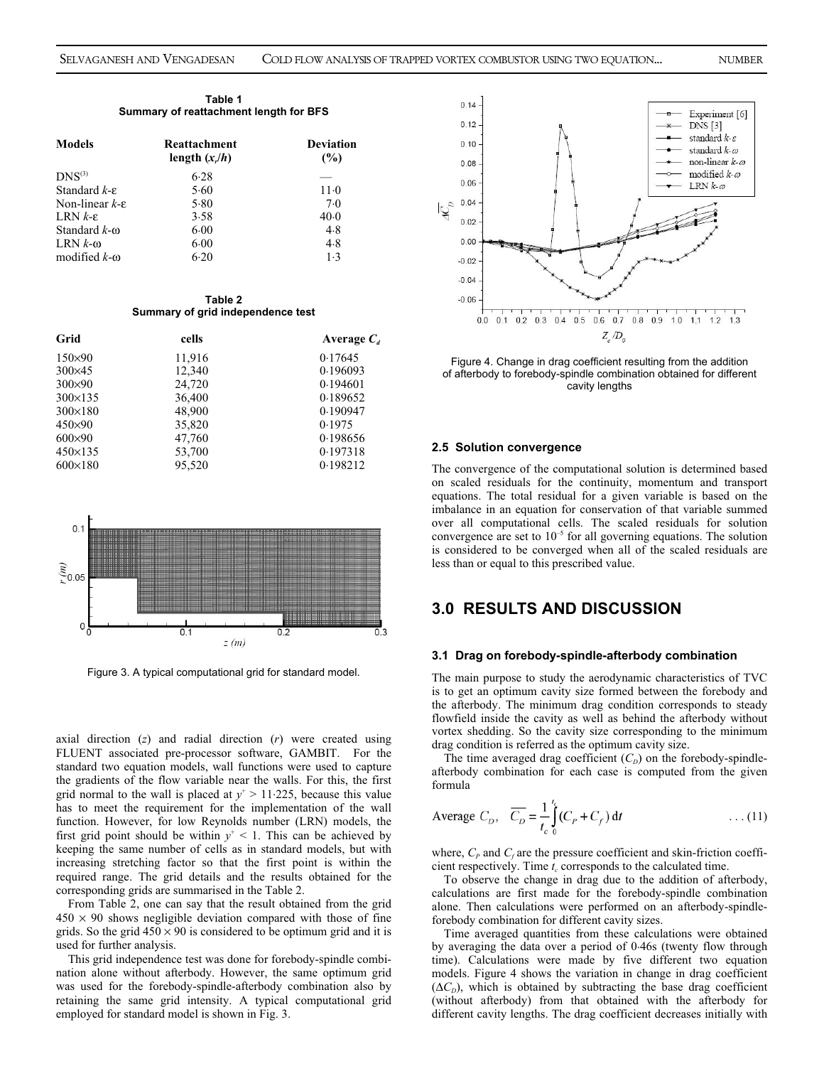| <b>Models</b>                  | Reattachment<br>length $(x/h)$ | <b>Deviation</b><br>(%) |  |
|--------------------------------|--------------------------------|-------------------------|--|
| $DNS^{(3)}$                    | 6.28                           |                         |  |
| Standard $k$ - $\varepsilon$   | 5.60                           | $11-0$                  |  |
| Non-linear $k$ - $\varepsilon$ | 5.80                           | 7.0                     |  |
| LRN $k$ - $\varepsilon$        | 3.58                           | $40-0$                  |  |
| Standard $k$ - $\omega$        | $6-00$                         | 4.8                     |  |
| LRN $k$ - $\omega$             | $6-00$                         | 4.8                     |  |
| modified $k$ - $\omega$        | $6-20$                         | 1.3                     |  |

#### **Table 2 Summary of grid independence test**

| Grid             | cells  | Average $C_{d}$ |  |
|------------------|--------|-----------------|--|
| $150\times90$    | 11,916 | 0.17645         |  |
| $300\times45$    | 12,340 | 0.196093        |  |
| $300\times90$    | 24,720 | 0.194601        |  |
| $300 \times 135$ | 36,400 | 0.189652        |  |
| $300\times180$   | 48,900 | 0.190947        |  |
| $450\times90$    | 35,820 | 0.1975          |  |
| $600\times90$    | 47,760 | 0.198656        |  |
| $450\times135$   | 53,700 | 0.197318        |  |
| $600\times180$   | 95,520 | 0.198212        |  |



Figure 3. A typical computational grid for standard model.

axial direction (*z*) and radial direction (*r*) were created using FLUENT associated pre-processor software, GAMBIT. For the standard two equation models, wall functions were used to capture the gradients of the flow variable near the walls. For this, the first grid normal to the wall is placed at  $y^+ > 11.225$ , because this value has to meet the requirement for the implementation of the wall function. However, for low Reynolds number (LRN) models, the first grid point should be within  $y^+ < 1$ . This can be achieved by keeping the same number of cells as in standard models, but with increasing stretching factor so that the first point is within the required range. The grid details and the results obtained for the corresponding grids are summarised in the Table 2.

From Table 2, one can say that the result obtained from the grid  $450 \times 90$  shows negligible deviation compared with those of fine grids. So the grid  $450 \times 90$  is considered to be optimum grid and it is used for further analysis.

This grid independence test was done for forebody-spindle combination alone without afterbody. However, the same optimum grid was used for the forebody-spindle-afterbody combination also by retaining the same grid intensity. A typical computational grid employed for standard model is shown in Fig. 3.



Figure 4. Change in drag coefficient resulting from the addition of afterbody to forebody-spindle combination obtained for different cavity lengths

#### **2.5 Solution convergence**

The convergence of the computational solution is determined based on scaled residuals for the continuity, momentum and transport equations. The total residual for a given variable is based on the imbalance in an equation for conservation of that variable summed over all computational cells. The scaled residuals for solution convergence are set to  $10^{-5}$  for all governing equations. The solution is considered to be converged when all of the scaled residuals are less than or equal to this prescribed value.

# **3.0 RESULTS AND DISCUSSION**

# **3.1 Drag on forebody-spindle-afterbody combination**

The main purpose to study the aerodynamic characteristics of TVC is to get an optimum cavity size formed between the forebody and the afterbody. The minimum drag condition corresponds to steady flowfield inside the cavity as well as behind the afterbody without vortex shedding. So the cavity size corresponding to the minimum drag condition is referred as the optimum cavity size.

The time averaged drag coefficient  $(C<sub>D</sub>)$  on the forebody-spindleafterbody combination for each case is computed from the given formula

Average 
$$
C_D
$$
,  $\overline{C_D} = \frac{1}{t_c} \int_0^t (C_P + C_f) dt$  ... (11)

where,  $C_p$  and  $C_f$  are the pressure coefficient and skin-friction coefficient respectively. Time  $t_c$  corresponds to the calculated time.

To observe the change in drag due to the addition of afterbody, calculations are first made for the forebody-spindle combination alone. Then calculations were performed on an afterbody-spindleforebody combination for different cavity sizes.

Time averaged quantities from these calculations were obtained by averaging the data over a period of 0.46s (twenty flow through time). Calculations were made by five different two equation models. Figure 4 shows the variation in change in drag coefficient  $(\Delta C_D)$ , which is obtained by subtracting the base drag coefficient (without afterbody) from that obtained with the afterbody for different cavity lengths. The drag coefficient decreases initially with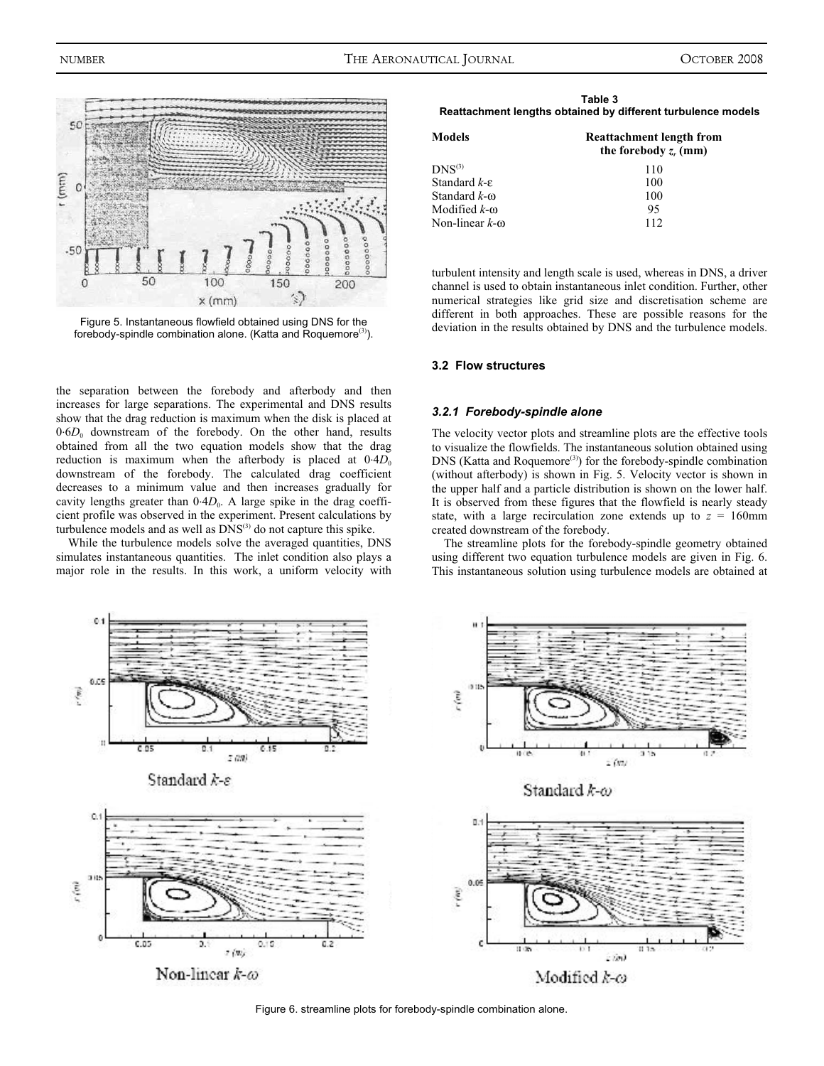

Figure 5. Instantaneous flowfield obtained using DNS for the forebody-spindle combination alone. (Katta and Roquemore<sup>(3)</sup>).

the separation between the forebody and afterbody and then increases for large separations. The experimental and DNS results show that the drag reduction is maximum when the disk is placed at  $0.6D_0$  downstream of the forebody. On the other hand, results obtained from all the two equation models show that the drag reduction is maximum when the afterbody is placed at  $0.4D_0$ downstream of the forebody. The calculated drag coefficient decreases to a minimum value and then increases gradually for cavity lengths greater than  $0.4D_0$ . A large spike in the drag coefficient profile was observed in the experiment. Present calculations by turbulence models and as well as  $DNS^{(3)}$  do not capture this spike.

While the turbulence models solve the averaged quantities, DNS simulates instantaneous quantities. The inlet condition also plays a major role in the results. In this work, a uniform velocity with

**Table 3 Reattachment lengths obtained by different turbulence models**

| Models                 | Reattachment length from<br>the forebody $z_{n}$ (mm) |  |  |
|------------------------|-------------------------------------------------------|--|--|
| $DNS^{(3)}$            | 110                                                   |  |  |
| Standard <i>k</i> -ε   | 100                                                   |  |  |
| Standard <i>k</i> -ω   | 100                                                   |  |  |
| Modified <i>k</i> -ω   | 95                                                    |  |  |
| Non-linear <i>k</i> -ω | 112                                                   |  |  |
|                        |                                                       |  |  |

turbulent intensity and length scale is used, whereas in DNS, a driver channel is used to obtain instantaneous inlet condition. Further, other numerical strategies like grid size and discretisation scheme are different in both approaches. These are possible reasons for the deviation in the results obtained by DNS and the turbulence models.

## **3.2 Flow structures**

#### *3.2.1 Forebody-spindle alone*

The velocity vector plots and streamline plots are the effective tools to visualize the flowfields. The instantaneous solution obtained using  $DNS$  (Katta and Roquemore<sup>(3)</sup>) for the forebody-spindle combination (without afterbody) is shown in Fig. 5. Velocity vector is shown in the upper half and a particle distribution is shown on the lower half. It is observed from these figures that the flowfield is nearly steady state, with a large recirculation zone extends up to  $z = 160$ mm created downstream of the forebody.

The streamline plots for the forebody-spindle geometry obtained using different two equation turbulence models are given in Fig. 6. This instantaneous solution using turbulence models are obtained at



Figure 6. streamline plots for forebody-spindle combination alone.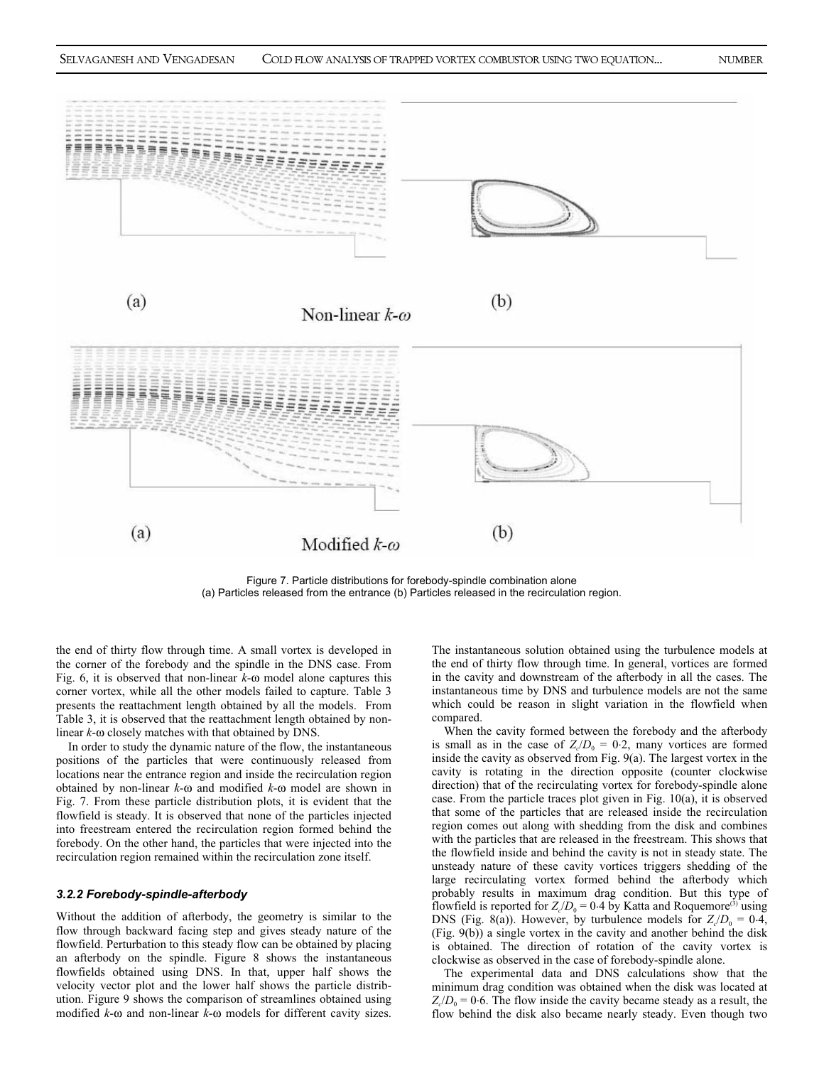

Figure 7. Particle distributions for forebody-spindle combination alone (a) Particles released from the entrance (b) Particles released in the recirculation region.

the end of thirty flow through time. A small vortex is developed in the corner of the forebody and the spindle in the DNS case. From Fig. 6, it is observed that non-linear  $k$ - $\omega$  model alone captures this corner vortex, while all the other models failed to capture. Table 3 presents the reattachment length obtained by all the models. From Table 3, it is observed that the reattachment length obtained by nonlinear  $k$ - $\omega$  closely matches with that obtained by DNS.

In order to study the dynamic nature of the flow, the instantaneous positions of the particles that were continuously released from locations near the entrance region and inside the recirculation region obtained by non-linear  $k$ - $\omega$  and modified  $k$ - $\omega$  model are shown in Fig. 7. From these particle distribution plots, it is evident that the flowfield is steady. It is observed that none of the particles injected into freestream entered the recirculation region formed behind the forebody. On the other hand, the particles that were injected into the recirculation region remained within the recirculation zone itself.

## *3.2.2 Forebody-spindle-afterbody*

Without the addition of afterbody, the geometry is similar to the flow through backward facing step and gives steady nature of the flowfield. Perturbation to this steady flow can be obtained by placing an afterbody on the spindle. Figure 8 shows the instantaneous flowfields obtained using DNS. In that, upper half shows the velocity vector plot and the lower half shows the particle distribution. Figure 9 shows the comparison of streamlines obtained using modified  $k$ - $\omega$  and non-linear  $k$ - $\omega$  models for different cavity sizes.

The instantaneous solution obtained using the turbulence models at the end of thirty flow through time. In general, vortices are formed in the cavity and downstream of the afterbody in all the cases. The instantaneous time by DNS and turbulence models are not the same which could be reason in slight variation in the flowfield when compared.

When the cavity formed between the forebody and the afterbody is small as in the case of  $Z/D_0 = 0.2$ , many vortices are formed inside the cavity as observed from Fig. 9(a). The largest vortex in the cavity is rotating in the direction opposite (counter clockwise direction) that of the recirculating vortex for forebody-spindle alone case. From the particle traces plot given in Fig. 10(a), it is observed that some of the particles that are released inside the recirculation region comes out along with shedding from the disk and combines with the particles that are released in the freestream. This shows that the flowfield inside and behind the cavity is not in steady state. The unsteady nature of these cavity vortices triggers shedding of the large recirculating vortex formed behind the afterbody which probably results in maximum drag condition. But this type of flowfield is reported for  $Z/D_0 = 0.4$  by Katta and Roquemore<sup>(3)</sup> using DNS (Fig. 8(a)). However, by turbulence models for  $Z/D_0 = 0.4$ , (Fig. 9(b)) a single vortex in the cavity and another behind the disk is obtained. The direction of rotation of the cavity vortex is clockwise as observed in the case of forebody-spindle alone.

The experimental data and DNS calculations show that the minimum drag condition was obtained when the disk was located at  $Z_c/D_0 = 0.6$ . The flow inside the cavity became steady as a result, the flow behind the disk also became nearly steady. Even though two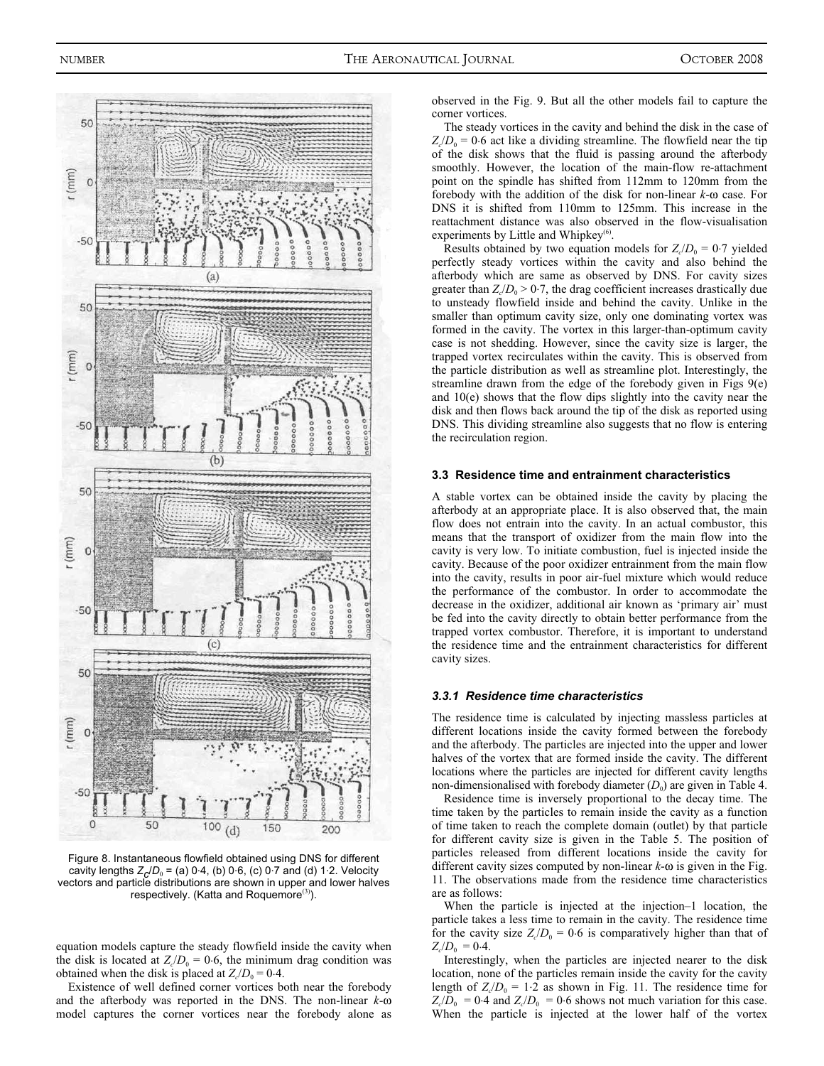

equation models capture the steady flowfield inside the cavity when the disk is located at  $Z_c/D_0 = 0.6$ , the minimum drag condition was obtained when the disk is placed at  $Z_c/D_0 = 0.4$ .

Existence of well defined corner vortices both near the forebody and the afterbody was reported in the DNS. The non-linear *k* model captures the corner vortices near the forebody alone as observed in the Fig. 9. But all the other models fail to capture the corner vortices.

The steady vortices in the cavity and behind the disk in the case of  $Z_c/D_0 = 0.6$  act like a dividing streamline. The flowfield near the tip of the disk shows that the fluid is passing around the afterbody smoothly. However, the location of the main-flow re-attachment point on the spindle has shifted from 112mm to 120mm from the forebody with the addition of the disk for non-linear  $k$ - $\omega$  case. For DNS it is shifted from 110mm to 125mm. This increase in the reattachment distance was also observed in the flow-visualisation experiments by Little and Whipkey<sup>(6)</sup>.

Results obtained by two equation models for  $Z_c/D_0 = 0.7$  yielded perfectly steady vortices within the cavity and also behind the afterbody which are same as observed by DNS. For cavity sizes greater than  $Z_c/D_0 > 0.7$ , the drag coefficient increases drastically due to unsteady flowfield inside and behind the cavity. Unlike in the smaller than optimum cavity size, only one dominating vortex was formed in the cavity. The vortex in this larger-than-optimum cavity case is not shedding. However, since the cavity size is larger, the trapped vortex recirculates within the cavity. This is observed from the particle distribution as well as streamline plot. Interestingly, the streamline drawn from the edge of the forebody given in Figs 9(e) and 10(e) shows that the flow dips slightly into the cavity near the disk and then flows back around the tip of the disk as reported using DNS. This dividing streamline also suggests that no flow is entering the recirculation region.

#### **3.3 Residence time and entrainment characteristics**

A stable vortex can be obtained inside the cavity by placing the afterbody at an appropriate place. It is also observed that, the main flow does not entrain into the cavity. In an actual combustor, this means that the transport of oxidizer from the main flow into the cavity is very low. To initiate combustion, fuel is injected inside the cavity. Because of the poor oxidizer entrainment from the main flow into the cavity, results in poor air-fuel mixture which would reduce the performance of the combustor. In order to accommodate the decrease in the oxidizer, additional air known as 'primary air' must be fed into the cavity directly to obtain better performance from the trapped vortex combustor. Therefore, it is important to understand the residence time and the entrainment characteristics for different cavity sizes.

# *3.3.1 Residence time characteristics*

The residence time is calculated by injecting massless particles at different locations inside the cavity formed between the forebody and the afterbody. The particles are injected into the upper and lower halves of the vortex that are formed inside the cavity. The different locations where the particles are injected for different cavity lengths non-dimensionalised with forebody diameter  $(D_0)$  are given in Table 4.

Residence time is inversely proportional to the decay time. The time taken by the particles to remain inside the cavity as a function of time taken to reach the complete domain (outlet) by that particle for different cavity size is given in the Table 5. The position of particles released from different locations inside the cavity for different cavity sizes computed by non-linear  $k$ - $\omega$  is given in the Fig. 11. The observations made from the residence time characteristics are as follows:

When the particle is injected at the injection–1 location, the particle takes a less time to remain in the cavity. The residence time for the cavity size  $Z_c/D_0 = 0.6$  is comparatively higher than that of  $Z_c/D_0 = 0.4$ .

Interestingly, when the particles are injected nearer to the disk location, none of the particles remain inside the cavity for the cavity length of  $Z_c/D_0 = 1.2$  as shown in Fig. 11. The residence time for  $Z_c/D_0 = 0.4$  and  $Z_c/D_0 = 0.6$  shows not much variation for this case. When the particle is injected at the lower half of the vortex



 $(a)$ 

 $(b)$ 

 $(c)$ 

50

 $-50$ 

50

 $(mm)$  $\mathbf C$ 

-50

50

 $-50$ 

50

 $(mm)$ 

 $(mm)$ 

 $(mm)$  $\Omega$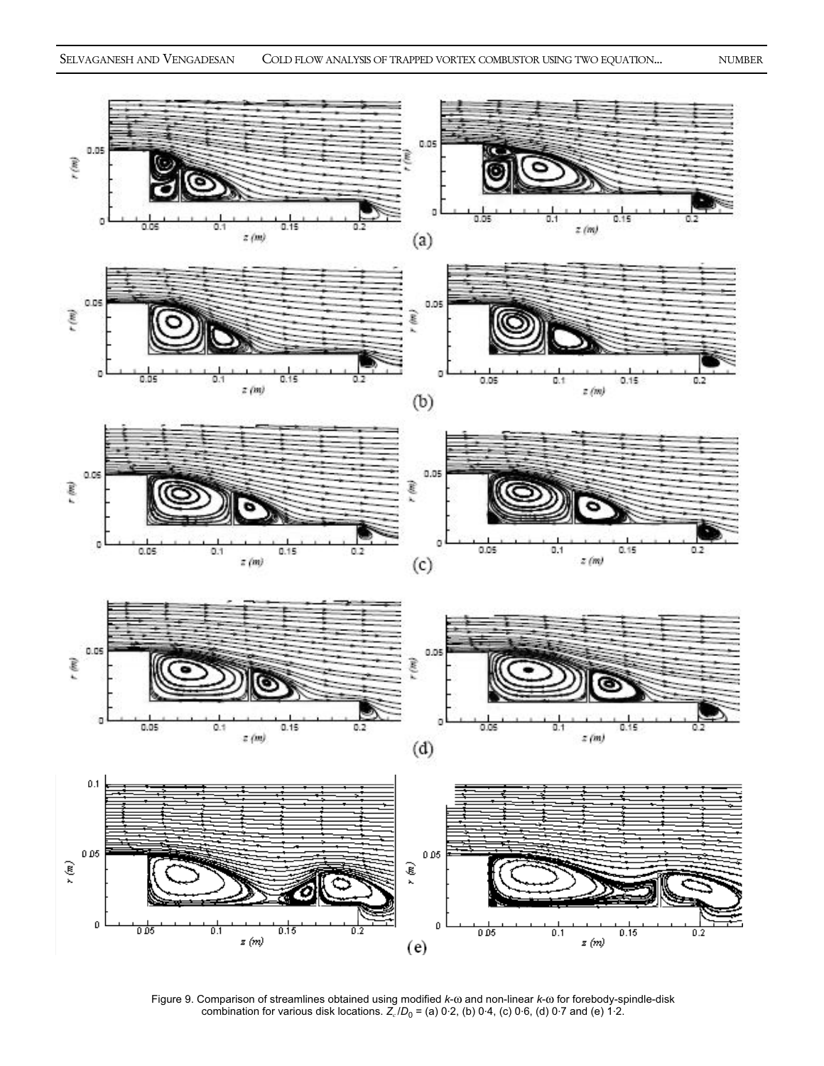

Figure 9. Comparison of streamlines obtained using modified *k*- $\omega$  and non-linear *k*- $\omega$  for forebody-spindle-disk combination for various disk locations.  $\mathcal{Z}_{c}/D_0$  = (a) 0<sup>.</sup>2, (b) 0<sup>.</sup>4, (c) 0<sup>.</sup>6, (d) 0<sup>.</sup>7 and (e) 1<sup>.</sup>2.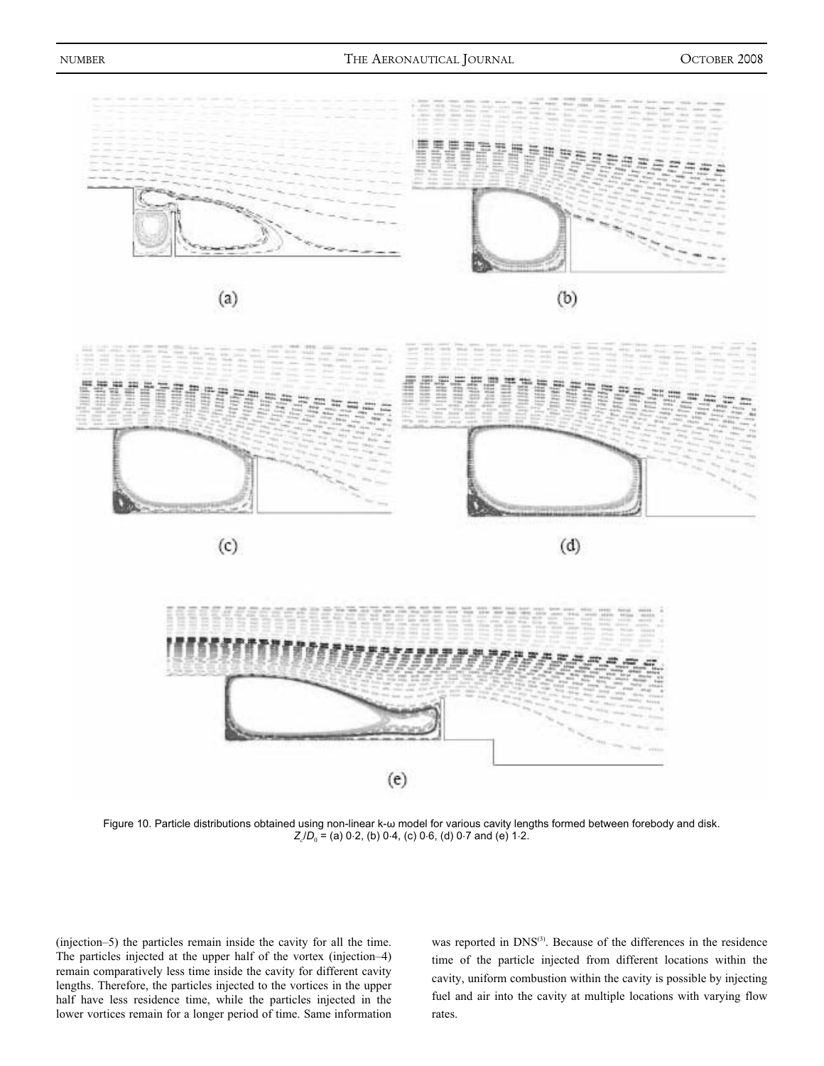

Figure 10. Particle distributions obtained using non-linear k-ω model for various cavity lengths formed between forebody and disk. *Z*<sub>*c*</sub>/*D*<sub>0</sub> = (a) 0.2, (b) 0.4, (c) 0.6, (d) 0.7 and (e) 1.2.

(injection–5) the particles remain inside the cavity for all the time. The particles injected at the upper half of the vortex (injection–4) remain comparatively less time inside the cavity for different cavity lengths. Therefore, the particles injected to the vortices in the upper half have less residence time, while the particles injected in the lower vortices remain for a longer period of time. Same information

was reported in DNS<sup>(3)</sup>. Because of the differences in the residence time of the particle injected from different locations within the cavity, uniform combustion within the cavity is possible by injecting fuel and air into the cavity at multiple locations with varying flow rates.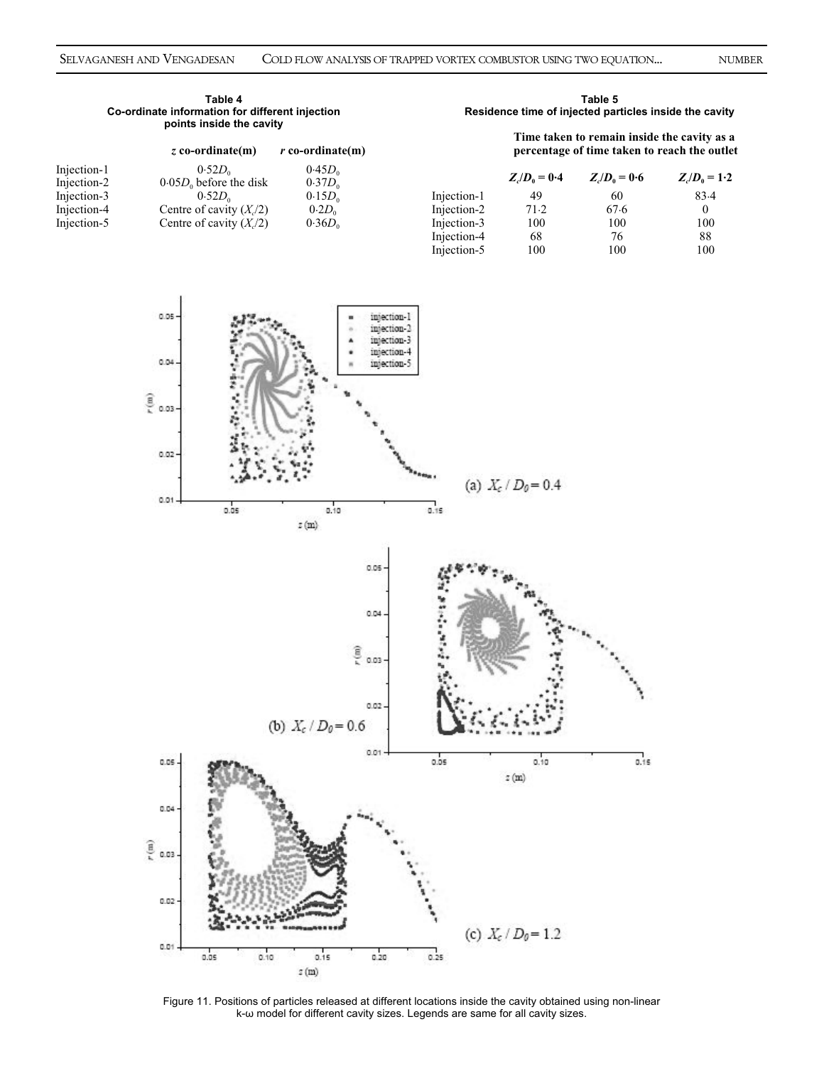#### **Table 4 Co-ordinate information for different injection points inside the cavity**

## **Table 5 Residence time of injected particles inside the cavity**

**Time taken to remain inside the cavity as a percentage of time taken to reach the outlet**

|             | $z$ co-ordinate $(m)$     | $r$ co-ordinate(m)<br>$0.45D_{0}$ |             | percentage of time taken to reach the outle |               |               |
|-------------|---------------------------|-----------------------------------|-------------|---------------------------------------------|---------------|---------------|
| Injection-1 | 0.52D <sub>0</sub>        |                                   |             |                                             |               |               |
| Injection-2 | $0.05D_0$ before the disk | 0.37D <sub>o</sub>                |             | $Z/D_0 = 0.4$                               | $Z/D_0 = 0.6$ | $Z/D_0 = 1.2$ |
| Injection-3 | 0.52D <sub>0</sub>        | 0.15D <sub>0</sub>                | Injection-1 | 49                                          | 60            | 83.4          |
| Injection-4 | Centre of cavity $(X/2)$  | 0.2D <sub>0</sub>                 | Injection-2 | 71.2                                        | 67.6          | $\bf{0}$      |
| Injection-5 | Centre of cavity $(X/2)$  | 0.36D <sub>0</sub>                | Injection-3 | 100                                         | 100           | 100           |
|             |                           |                                   | Injection-4 | 68                                          | 76            | 88            |
|             |                           |                                   | Injection-5 | 100                                         | 100           | 100           |



Figure 11. Positions of particles released at different locations inside the cavity obtained using non-linear k-ω model for different cavity sizes. Legends are same for all cavity sizes.